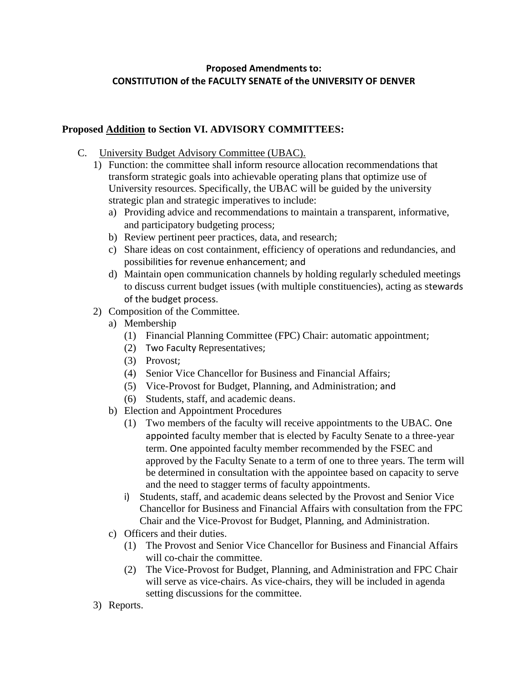# **Proposed Amendments to: CONSTITUTION of the FACULTY SENATE of the UNIVERSITY OF DENVER**

## **Proposed Addition to Section VI. ADVISORY COMMITTEES:**

- C. University Budget Advisory Committee (UBAC).
	- 1) Function: the committee shall inform resource allocation recommendations that transform strategic goals into achievable operating plans that optimize use of University resources. Specifically, the UBAC will be guided by the university strategic plan and strategic imperatives to include:
		- a) Providing advice and recommendations to maintain a transparent, informative, and participatory budgeting process;
		- b) Review pertinent peer practices, data, and research;
		- c) Share ideas on cost containment, efficiency of operations and redundancies, and possibilities for revenue enhancement; and
		- d) Maintain open communication channels by holding regularly scheduled meetings to discuss current budget issues (with multiple constituencies), acting as stewards of the budget process.
	- 2) Composition of the Committee.
		- a) Membership
			- (1) Financial Planning Committee (FPC) Chair: automatic appointment;
			- (2) Two Faculty Representatives;
			- (3) Provost;
			- (4) Senior Vice Chancellor for Business and Financial Affairs;
			- (5) Vice-Provost for Budget, Planning, and Administration; and
			- (6) Students, staff, and academic deans.
		- b) Election and Appointment Procedures
			- (1) Two members of the faculty will receive appointments to the UBAC. One appointed faculty member that is elected by Faculty Senate to a three-year term. One appointed faculty member recommended by the FSEC and approved by the Faculty Senate to a term of one to three years. The term will be determined in consultation with the appointee based on capacity to serve and the need to stagger terms of faculty appointments.
			- i) Students, staff, and academic deans selected by the Provost and Senior Vice Chancellor for Business and Financial Affairs with consultation from the FPC Chair and the Vice-Provost for Budget, Planning, and Administration.
		- c) Officers and their duties.
			- (1) The Provost and Senior Vice Chancellor for Business and Financial Affairs will co-chair the committee.
			- (2) The Vice-Provost for Budget, Planning, and Administration and FPC Chair will serve as vice-chairs. As vice-chairs, they will be included in agenda setting discussions for the committee.
	- 3) Reports.